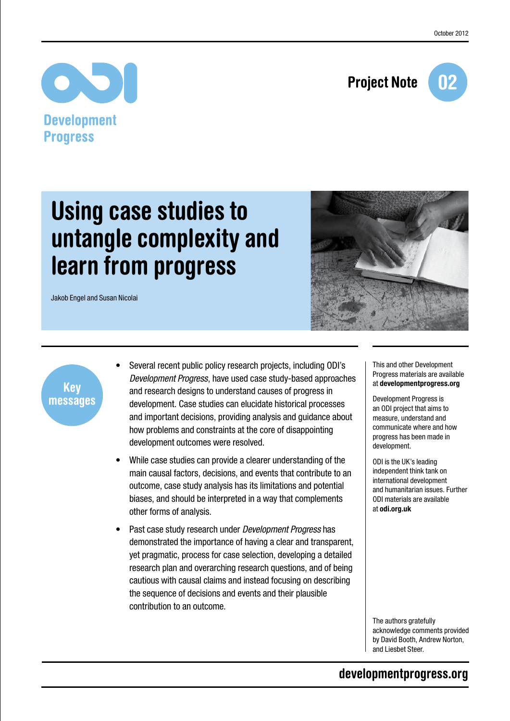



# Using case studies to untangle complexity and learn from progress

Jakob Engel and Susan Nicolai





- Several recent public policy research projects, including ODI's *Development Progress*, have used case study-based approaches and research designs to understand causes of progress in development. Case studies can elucidate historical processes and important decisions, providing analysis and guidance about how problems and constraints at the core of disappointing development outcomes were resolved.
- While case studies can provide a clearer understanding of the main causal factors, decisions, and events that contribute to an outcome, case study analysis has its limitations and potential biases, and should be interpreted in a way that complements other forms of analysis.
- Past case study research under *Development Progress* has demonstrated the importance of having a clear and transparent, yet pragmatic, process for case selection, developing a detailed research plan and overarching research questions, and of being cautious with causal claims and instead focusing on describing the sequence of decisions and events and their plausible contribution to an outcome.

This and other Development Progress materials are available at developmentprogress.org

Development Progress is an ODI project that aims to measure, understand and communicate where and how progress has been made in development.

ODI is the UK's leading independent think tank on international development and humanitarian issues. Further ODI materials are available at odi.org.uk

The authors gratefully acknowledge comments provided by David Booth, Andrew Norton, and Liesbet Steer.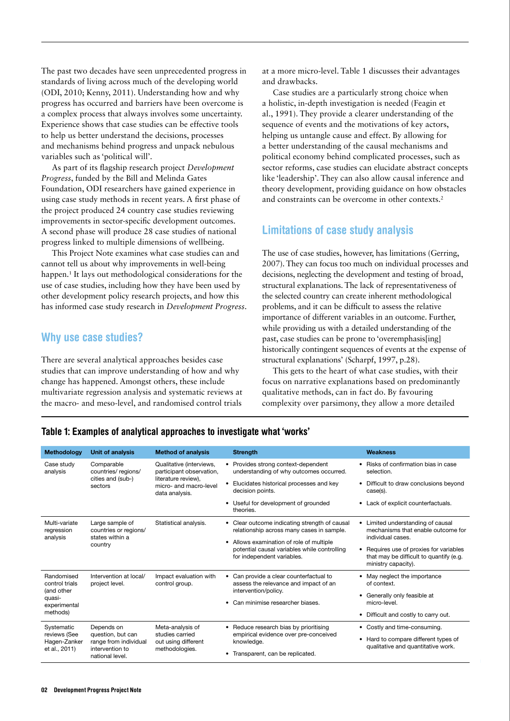The past two decades have seen unprecedented progress in standards of living across much of the developing world (ODI, 2010; Kenny, 2011). Understanding how and why progress has occurred and barriers have been overcome is a complex process that always involves some uncertainty. Experience shows that case studies can be effective tools to help us better understand the decisions, processes and mechanisms behind progress and unpack nebulous variables such as 'political will'.

As part of its flagship research project *Development Progress*, funded by the Bill and Melinda Gates Foundation, ODI researchers have gained experience in using case study methods in recent years. A first phase of the project produced 24 country case studies reviewing improvements in sector-specific development outcomes. A second phase will produce 28 case studies of national progress linked to multiple dimensions of wellbeing.

This Project Note examines what case studies can and cannot tell us about why improvements in well-being happen.<sup>1</sup> It lays out methodological considerations for the use of case studies, including how they have been used by other development policy research projects, and how this has informed case study research in *Development Progress*.

#### Why use case studies?

There are several analytical approaches besides case studies that can improve understanding of how and why change has happened. Amongst others, these include multivariate regression analysis and systematic reviews at the macro- and meso-level, and randomised control trials

at a more micro-level. Table 1 discusses their advantages and drawbacks.

Case studies are a particularly strong choice when a holistic, in-depth investigation is needed (Feagin et al., 1991). They provide a clearer understanding of the sequence of events and the motivations of key actors, helping us untangle cause and effect. By allowing for a better understanding of the causal mechanisms and political economy behind complicated processes, such as sector reforms, case studies can elucidate abstract concepts like 'leadership'. They can also allow causal inference and theory development, providing guidance on how obstacles and constraints can be overcome in other contexts.<sup>2</sup>

### Limitations of case study analysis

The use of case studies, however, has limitations (Gerring, 2007). They can focus too much on individual processes and decisions, neglecting the development and testing of broad, structural explanations. The lack of representativeness of the selected country can create inherent methodological problems, and it can be difficult to assess the relative importance of different variables in an outcome. Further, while providing us with a detailed understanding of the past, case studies can be prone to 'overemphasis[ing] historically contingent sequences of events at the expense of structural explanations' (Scharpf, 1997, p.28).

This gets to the heart of what case studies, with their focus on narrative explanations based on predominantly qualitative methods, can in fact do. By favouring complexity over parsimony, they allow a more detailed

#### Table 1: Examples of analytical approaches to investigate what 'works'

| Methodology                                                                      | Unit of analysis                                                                               | <b>Method of analysis</b>                                                                                               |           | <b>Strength</b>                                                                                                                                                                                                  |        | Weakness                                                                                                |
|----------------------------------------------------------------------------------|------------------------------------------------------------------------------------------------|-------------------------------------------------------------------------------------------------------------------------|-----------|------------------------------------------------------------------------------------------------------------------------------------------------------------------------------------------------------------------|--------|---------------------------------------------------------------------------------------------------------|
| Case study<br>analysis                                                           | Comparable<br>countries/ regions/<br>cities and (sub-)<br>sectors                              | Qualitative (interviews,<br>participant observation,<br>literature review),<br>micro- and macro-level<br>data analysis. |           | • Provides strong context-dependent<br>understanding of why outcomes occurred.                                                                                                                                   | ٠      | Risks of confirmation bias in case<br>selection.                                                        |
|                                                                                  |                                                                                                |                                                                                                                         | $\bullet$ | Elucidates historical processes and key<br>decision points.                                                                                                                                                      |        | • Difficult to draw conclusions beyond<br>case(s).                                                      |
|                                                                                  |                                                                                                |                                                                                                                         |           | Useful for development of grounded<br>theories.                                                                                                                                                                  |        | • Lack of explicit counterfactuals.                                                                     |
| Multi-variate<br>regression<br>analysis                                          | Large sample of<br>countries or regions/<br>states within a<br>country                         | Statistical analysis.                                                                                                   | ٠         | Clear outcome indicating strength of causal<br>relationship across many cases in sample.<br>Allows examination of role of multiple<br>potential causal variables while controlling<br>for independent variables. | ٠      | Limited understanding of causal<br>mechanisms that enable outcome for<br>individual cases.              |
|                                                                                  |                                                                                                |                                                                                                                         |           |                                                                                                                                                                                                                  | ٠      | Requires use of proxies for variables<br>that may be difficult to quantify (e.g.<br>ministry capacity). |
| Randomised<br>control trials<br>(and other<br>quasi-<br>experimental<br>methods) | Intervention at local/<br>project level.                                                       | Impact evaluation with<br>control group.                                                                                |           | Can provide a clear counterfactual to<br>assess the relevance and impact of an                                                                                                                                   |        | • May neglect the importance<br>of context.                                                             |
|                                                                                  |                                                                                                |                                                                                                                         |           | intervention/policy.<br>Can minimise researcher biases.                                                                                                                                                          | ٠<br>٠ | Generally only feasible at<br>micro-level.                                                              |
|                                                                                  |                                                                                                |                                                                                                                         |           |                                                                                                                                                                                                                  |        | Difficult and costly to carry out.                                                                      |
| Systematic<br>reviews (See<br>Hagen-Zanker<br>et al., 2011)                      | Depends on<br>question, but can<br>range from individual<br>intervention to<br>national level. | Meta-analysis of<br>studies carried<br>out using different<br>methodologies.                                            | ٠         | Reduce research bias by prioritising<br>empirical evidence over pre-conceived<br>knowledge.                                                                                                                      |        | • Costly and time-consuming.                                                                            |
|                                                                                  |                                                                                                |                                                                                                                         |           |                                                                                                                                                                                                                  | ٠      | Hard to compare different types of<br>qualitative and quantitative work.                                |
|                                                                                  |                                                                                                |                                                                                                                         |           | Transparent, can be replicated.                                                                                                                                                                                  |        |                                                                                                         |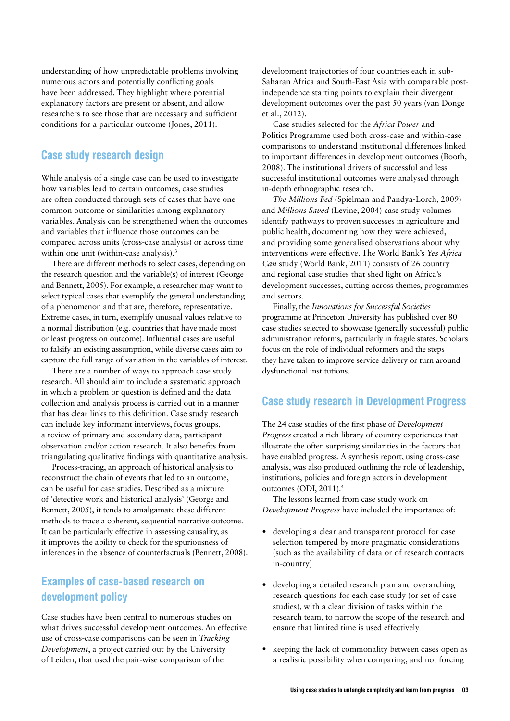understanding of how unpredictable problems involving numerous actors and potentially conflicting goals have been addressed. They highlight where potential explanatory factors are present or absent, and allow researchers to see those that are necessary and sufficient conditions for a particular outcome (Jones, 2011).

# Case study research design

While analysis of a single case can be used to investigate how variables lead to certain outcomes, case studies are often conducted through sets of cases that have one common outcome or similarities among explanatory variables. Analysis can be strengthened when the outcomes and variables that influence those outcomes can be compared across units (cross-case analysis) or across time within one unit (within-case analysis).<sup>3</sup>

There are different methods to select cases, depending on the research question and the variable(s) of interest (George and Bennett, 2005). For example, a researcher may want to select typical cases that exemplify the general understanding of a phenomenon and that are, therefore, representative. Extreme cases, in turn, exemplify unusual values relative to a normal distribution (e.g. countries that have made most or least progress on outcome). Influential cases are useful to falsify an existing assumption, while diverse cases aim to capture the full range of variation in the variables of interest.

There are a number of ways to approach case study research. All should aim to include a systematic approach in which a problem or question is defined and the data collection and analysis process is carried out in a manner that has clear links to this definition. Case study research can include key informant interviews, focus groups, a review of primary and secondary data, participant observation and/or action research. It also benefits from triangulating qualitative findings with quantitative analysis.

Process-tracing, an approach of historical analysis to reconstruct the chain of events that led to an outcome, can be useful for case studies. Described as a mixture of 'detective work and historical analysis' (George and Bennett, 2005), it tends to amalgamate these different methods to trace a coherent, sequential narrative outcome. It can be particularly effective in assessing causality, as it improves the ability to check for the spuriousness of inferences in the absence of counterfactuals (Bennett, 2008).

# Examples of case-based research on development policy

Case studies have been central to numerous studies on what drives successful development outcomes. An effective use of cross-case comparisons can be seen in *Tracking Development*, a project carried out by the University of Leiden, that used the pair-wise comparison of the

development trajectories of four countries each in sub-Saharan Africa and South-East Asia with comparable postindependence starting points to explain their divergent development outcomes over the past 50 years (van Donge et al., 2012).

Case studies selected for the *Africa Power* and Politics Programme used both cross-case and within-case comparisons to understand institutional differences linked to important differences in development outcomes (Booth, 2008). The institutional drivers of successful and less successful institutional outcomes were analysed through in-depth ethnographic research.

*The Millions Fed* (Spielman and Pandya-Lorch, 2009) and *Millions Saved* (Levine, 2004) case study volumes identify pathways to proven successes in agriculture and public health, documenting how they were achieved, and providing some generalised observations about why interventions were effective. The World Bank's *Yes Africa Can* study (World Bank, 2011) consists of 26 country and regional case studies that shed light on Africa's development successes, cutting across themes, programmes and sectors.

Finally, the *Innovations for Successful Societies* programme at Princeton University has published over 80 case studies selected to showcase (generally successful) public administration reforms, particularly in fragile states. Scholars focus on the role of individual reformers and the steps they have taken to improve service delivery or turn around dysfunctional institutions.

# Case study research in Development Progress

The 24 case studies of the first phase of *Development Progress* created a rich library of country experiences that illustrate the often surprising similarities in the factors that have enabled progress. A synthesis report, using cross-case analysis, was also produced outlining the role of leadership, institutions, policies and foreign actors in development outcomes (ODI, 2011).4

The lessons learned from case study work on *Development Progress* have included the importance of:

- **•** developing a clear and transparent protocol for case selection tempered by more pragmatic considerations (such as the availability of data or of research contacts in-country)
- **•** developing a detailed research plan and overarching research questions for each case study (or set of case studies), with a clear division of tasks within the research team, to narrow the scope of the research and ensure that limited time is used effectively
- **•** keeping the lack of commonality between cases open as a realistic possibility when comparing, and not forcing